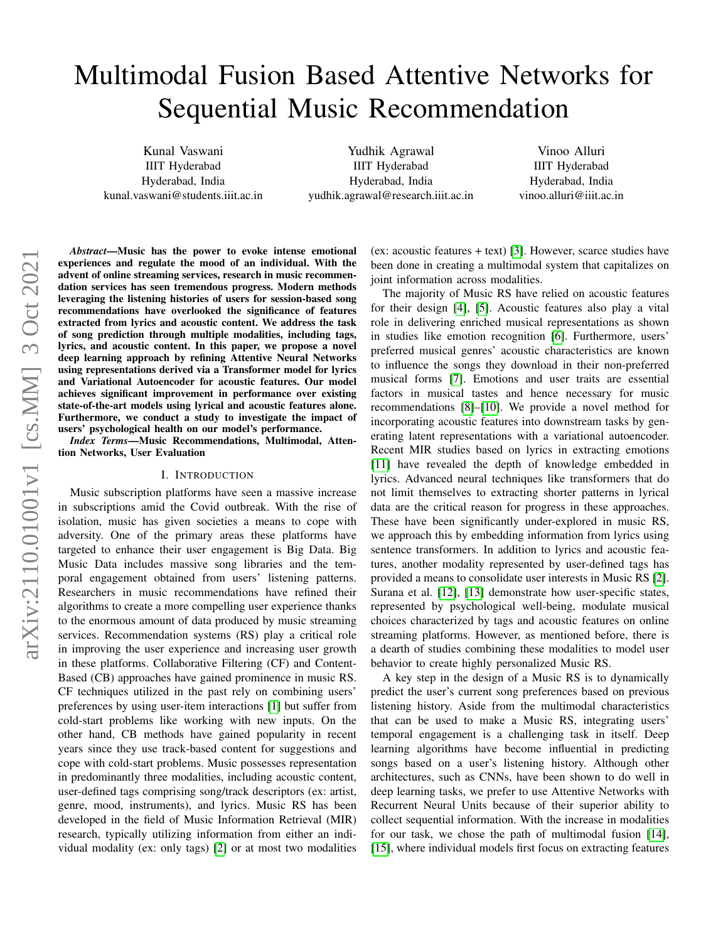# Multimodal Fusion Based Attentive Networks for Sequential Music Recommendation

Kunal Vaswani IIIT Hyderabad Hyderabad, India kunal.vaswani@students.iiit.ac.in

Yudhik Agrawal IIIT Hyderabad Hyderabad, India yudhik.agrawal@research.iiit.ac.in

Vinoo Alluri IIIT Hyderabad Hyderabad, India vinoo.alluri@iiit.ac.in

*Abstract*—Music has the power to evoke intense emotional experiences and regulate the mood of an individual. With the advent of online streaming services, research in music recommendation services has seen tremendous progress. Modern methods leveraging the listening histories of users for session-based song recommendations have overlooked the significance of features extracted from lyrics and acoustic content. We address the task of song prediction through multiple modalities, including tags, lyrics, and acoustic content. In this paper, we propose a novel deep learning approach by refining Attentive Neural Networks using representations derived via a Transformer model for lyrics and Variational Autoencoder for acoustic features. Our model achieves significant improvement in performance over existing state-of-the-art models using lyrical and acoustic features alone. Furthermore, we conduct a study to investigate the impact of users' psychological health on our model's performance.

*Index Terms*—Music Recommendations, Multimodal, Attention Networks, User Evaluation

#### I. INTRODUCTION

Music subscription platforms have seen a massive increase in subscriptions amid the Covid outbreak. With the rise of isolation, music has given societies a means to cope with adversity. One of the primary areas these platforms have targeted to enhance their user engagement is Big Data. Big Music Data includes massive song libraries and the temporal engagement obtained from users' listening patterns. Researchers in music recommendations have refined their algorithms to create a more compelling user experience thanks to the enormous amount of data produced by music streaming services. Recommendation systems (RS) play a critical role in improving the user experience and increasing user growth in these platforms. Collaborative Filtering (CF) and Content-Based (CB) approaches have gained prominence in music RS. CF techniques utilized in the past rely on combining users' preferences by using user-item interactions [\[1\]](#page-6-0) but suffer from cold-start problems like working with new inputs. On the other hand, CB methods have gained popularity in recent years since they use track-based content for suggestions and cope with cold-start problems. Music possesses representation in predominantly three modalities, including acoustic content, user-defined tags comprising song/track descriptors (ex: artist, genre, mood, instruments), and lyrics. Music RS has been developed in the field of Music Information Retrieval (MIR) research, typically utilizing information from either an individual modality (ex: only tags) [\[2\]](#page-6-1) or at most two modalities

(ex: acoustic features + text) [\[3\]](#page-6-2). However, scarce studies have been done in creating a multimodal system that capitalizes on joint information across modalities.

The majority of Music RS have relied on acoustic features for their design [\[4\]](#page-6-3), [\[5\]](#page-6-4). Acoustic features also play a vital role in delivering enriched musical representations as shown in studies like emotion recognition [\[6\]](#page-6-5). Furthermore, users' preferred musical genres' acoustic characteristics are known to influence the songs they download in their non-preferred musical forms [\[7\]](#page-6-6). Emotions and user traits are essential factors in musical tastes and hence necessary for music recommendations [\[8\]](#page-6-7)–[\[10\]](#page-6-8). We provide a novel method for incorporating acoustic features into downstream tasks by generating latent representations with a variational autoencoder. Recent MIR studies based on lyrics in extracting emotions [\[11\]](#page-6-9) have revealed the depth of knowledge embedded in lyrics. Advanced neural techniques like transformers that do not limit themselves to extracting shorter patterns in lyrical data are the critical reason for progress in these approaches. These have been significantly under-explored in music RS, we approach this by embedding information from lyrics using sentence transformers. In addition to lyrics and acoustic features, another modality represented by user-defined tags has provided a means to consolidate user interests in Music RS [\[2\]](#page-6-1). Surana et al. [\[12\]](#page-7-0), [\[13\]](#page-7-1) demonstrate how user-specific states, represented by psychological well-being, modulate musical choices characterized by tags and acoustic features on online streaming platforms. However, as mentioned before, there is a dearth of studies combining these modalities to model user behavior to create highly personalized Music RS.

A key step in the design of a Music RS is to dynamically predict the user's current song preferences based on previous listening history. Aside from the multimodal characteristics that can be used to make a Music RS, integrating users' temporal engagement is a challenging task in itself. Deep learning algorithms have become influential in predicting songs based on a user's listening history. Although other architectures, such as CNNs, have been shown to do well in deep learning tasks, we prefer to use Attentive Networks with Recurrent Neural Units because of their superior ability to collect sequential information. With the increase in modalities for our task, we chose the path of multimodal fusion [\[14\]](#page-7-2), [\[15\]](#page-7-3), where individual models first focus on extracting features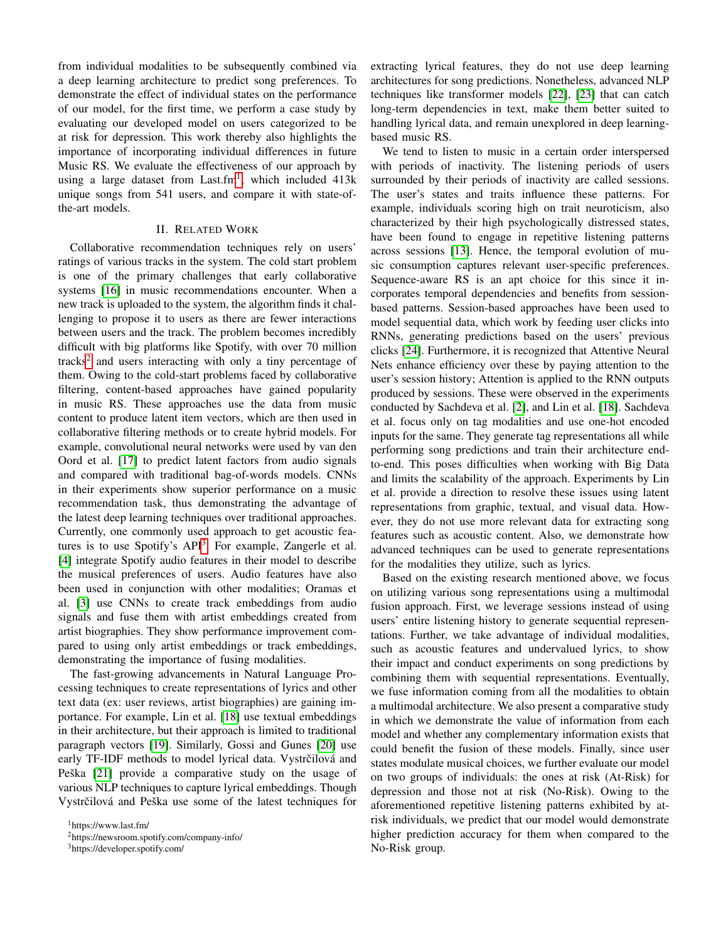from individual modalities to be subsequently combined via a deep learning architecture to predict song preferences. To demonstrate the effect of individual states on the performance of our model, for the first time, we perform a case study by evaluating our developed model on users categorized to be at risk for depression. This work thereby also highlights the importance of incorporating individual differences in future Music RS. We evaluate the effectiveness of our approach by using a large dataset from Last.fm<sup>[1](#page-1-0)</sup>, which included  $413k$ unique songs from 541 users, and compare it with state-ofthe-art models.

# II. RELATED WORK

Collaborative recommendation techniques rely on users' ratings of various tracks in the system. The cold start problem is one of the primary challenges that early collaborative systems [\[16\]](#page-7-4) in music recommendations encounter. When a new track is uploaded to the system, the algorithm finds it challenging to propose it to users as there are fewer interactions between users and the track. The problem becomes incredibly difficult with big platforms like Spotify, with over 70 million tracks<sup>[2](#page-1-1)</sup> and users interacting with only a tiny percentage of them. Owing to the cold-start problems faced by collaborative filtering, content-based approaches have gained popularity in music RS. These approaches use the data from music content to produce latent item vectors, which are then used in collaborative filtering methods or to create hybrid models. For example, convolutional neural networks were used by van den Oord et al. [\[17\]](#page-7-5) to predict latent factors from audio signals and compared with traditional bag-of-words models. CNNs in their experiments show superior performance on a music recommendation task, thus demonstrating the advantage of the latest deep learning techniques over traditional approaches. Currently, one commonly used approach to get acoustic features is to use Spotify's  $API<sup>3</sup>$  $API<sup>3</sup>$  $API<sup>3</sup>$ . For example, Zangerle et al. [\[4\]](#page-6-3) integrate Spotify audio features in their model to describe the musical preferences of users. Audio features have also been used in conjunction with other modalities; Oramas et al. [\[3\]](#page-6-2) use CNNs to create track embeddings from audio signals and fuse them with artist embeddings created from artist biographies. They show performance improvement compared to using only artist embeddings or track embeddings, demonstrating the importance of fusing modalities.

The fast-growing advancements in Natural Language Processing techniques to create representations of lyrics and other text data (ex: user reviews, artist biographies) are gaining importance. For example, Lin et al. [\[18\]](#page-7-6) use textual embeddings in their architecture, but their approach is limited to traditional paragraph vectors [\[19\]](#page-7-7). Similarly, Gossi and Gunes [\[20\]](#page-7-8) use early TF-IDF methods to model lyrical data. Vystrčilová and Peška  $[21]$  provide a comparative study on the usage of various NLP techniques to capture lyrical embeddings. Though Vystrčilová and Peška use some of the latest techniques for

<span id="page-1-0"></span><sup>1</sup>https://www.last.fm/

<span id="page-1-2"></span><sup>3</sup>https://developer.spotify.com/

extracting lyrical features, they do not use deep learning architectures for song predictions. Nonetheless, advanced NLP techniques like transformer models [\[22\]](#page-7-10), [\[23\]](#page-7-11) that can catch long-term dependencies in text, make them better suited to handling lyrical data, and remain unexplored in deep learningbased music RS.

We tend to listen to music in a certain order interspersed with periods of inactivity. The listening periods of users surrounded by their periods of inactivity are called sessions. The user's states and traits influence these patterns. For example, individuals scoring high on trait neuroticism, also characterized by their high psychologically distressed states, have been found to engage in repetitive listening patterns across sessions [\[13\]](#page-7-1). Hence, the temporal evolution of music consumption captures relevant user-specific preferences. Sequence-aware RS is an apt choice for this since it incorporates temporal dependencies and benefits from sessionbased patterns. Session-based approaches have been used to model sequential data, which work by feeding user clicks into RNNs, generating predictions based on the users' previous clicks [\[24\]](#page-7-12). Furthermore, it is recognized that Attentive Neural Nets enhance efficiency over these by paying attention to the user's session history; Attention is applied to the RNN outputs produced by sessions. These were observed in the experiments conducted by Sachdeva et al. [\[2\]](#page-6-1), and Lin et al. [\[18\]](#page-7-6). Sachdeva et al. focus only on tag modalities and use one-hot encoded inputs for the same. They generate tag representations all while performing song predictions and train their architecture endto-end. This poses difficulties when working with Big Data and limits the scalability of the approach. Experiments by Lin et al. provide a direction to resolve these issues using latent representations from graphic, textual, and visual data. However, they do not use more relevant data for extracting song features such as acoustic content. Also, we demonstrate how advanced techniques can be used to generate representations for the modalities they utilize, such as lyrics.

Based on the existing research mentioned above, we focus on utilizing various song representations using a multimodal fusion approach. First, we leverage sessions instead of using users' entire listening history to generate sequential representations. Further, we take advantage of individual modalities, such as acoustic features and undervalued lyrics, to show their impact and conduct experiments on song predictions by combining them with sequential representations. Eventually, we fuse information coming from all the modalities to obtain a multimodal architecture. We also present a comparative study in which we demonstrate the value of information from each model and whether any complementary information exists that could benefit the fusion of these models. Finally, since user states modulate musical choices, we further evaluate our model on two groups of individuals: the ones at risk (At-Risk) for depression and those not at risk (No-Risk). Owing to the aforementioned repetitive listening patterns exhibited by atrisk individuals, we predict that our model would demonstrate higher prediction accuracy for them when compared to the No-Risk group.

<span id="page-1-1"></span><sup>2</sup>https://newsroom.spotify.com/company-info/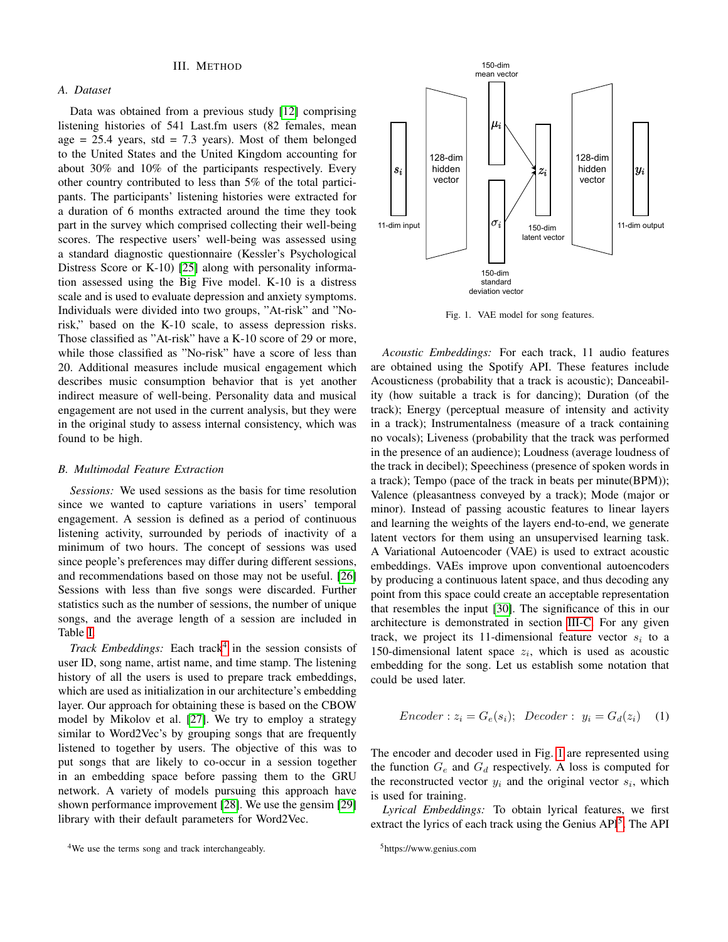# *A. Dataset*

Data was obtained from a previous study [\[12\]](#page-7-0) comprising listening histories of 541 Last.fm users (82 females, mean age  $= 25.4$  years, std  $= 7.3$  years). Most of them belonged to the United States and the United Kingdom accounting for about 30% and 10% of the participants respectively. Every other country contributed to less than 5% of the total participants. The participants' listening histories were extracted for a duration of 6 months extracted around the time they took part in the survey which comprised collecting their well-being scores. The respective users' well-being was assessed using a standard diagnostic questionnaire (Kessler's Psychological Distress Score or K-10) [\[25\]](#page-7-13) along with personality information assessed using the Big Five model. K-10 is a distress scale and is used to evaluate depression and anxiety symptoms. Individuals were divided into two groups, "At-risk" and "Norisk," based on the K-10 scale, to assess depression risks. Those classified as "At-risk" have a K-10 score of 29 or more, while those classified as "No-risk" have a score of less than 20. Additional measures include musical engagement which describes music consumption behavior that is yet another indirect measure of well-being. Personality data and musical engagement are not used in the current analysis, but they were in the original study to assess internal consistency, which was found to be high.

#### <span id="page-2-3"></span>*B. Multimodal Feature Extraction*

*Sessions:* We used sessions as the basis for time resolution since we wanted to capture variations in users' temporal engagement. A session is defined as a period of continuous listening activity, surrounded by periods of inactivity of a minimum of two hours. The concept of sessions was used since people's preferences may differ during different sessions, and recommendations based on those may not be useful. [\[26\]](#page-7-14) Sessions with less than five songs were discarded. Further statistics such as the number of sessions, the number of unique songs, and the average length of a session are included in Table [I.](#page-3-0)

Track Embeddings: Each track<sup>[4](#page-2-0)</sup> in the session consists of user ID, song name, artist name, and time stamp. The listening history of all the users is used to prepare track embeddings, which are used as initialization in our architecture's embedding layer. Our approach for obtaining these is based on the CBOW model by Mikolov et al. [\[27\]](#page-7-15). We try to employ a strategy similar to Word2Vec's by grouping songs that are frequently listened to together by users. The objective of this was to put songs that are likely to co-occur in a session together in an embedding space before passing them to the GRU network. A variety of models pursuing this approach have shown performance improvement [\[28\]](#page-7-16). We use the gensim [\[29\]](#page-7-17) library with their default parameters for Word2Vec.



<span id="page-2-1"></span>Fig. 1. VAE model for song features.

*Acoustic Embeddings:* For each track, 11 audio features are obtained using the Spotify API. These features include Acousticness (probability that a track is acoustic); Danceability (how suitable a track is for dancing); Duration (of the track); Energy (perceptual measure of intensity and activity in a track); Instrumentalness (measure of a track containing no vocals); Liveness (probability that the track was performed in the presence of an audience); Loudness (average loudness of the track in decibel); Speechiness (presence of spoken words in a track); Tempo (pace of the track in beats per minute(BPM)); Valence (pleasantness conveyed by a track); Mode (major or minor). Instead of passing acoustic features to linear layers and learning the weights of the layers end-to-end, we generate latent vectors for them using an unsupervised learning task. A Variational Autoencoder (VAE) is used to extract acoustic embeddings. VAEs improve upon conventional autoencoders by producing a continuous latent space, and thus decoding any point from this space could create an acceptable representation that resembles the input [\[30\]](#page-7-18). The significance of this in our architecture is demonstrated in section [III-C.](#page-3-1) For any given track, we project its 11-dimensional feature vector  $s_i$  to a 150-dimensional latent space  $z_i$ , which is used as acoustic embedding for the song. Let us establish some notation that could be used later.

$$
Encoder: z_i = G_e(s_i); \ \cdot Decoder: \ y_i = G_d(z_i) \quad (1)
$$

The encoder and decoder used in Fig. [1](#page-2-1) are represented using the function  $G_e$  and  $G_d$  respectively. A loss is computed for the reconstructed vector  $y_i$  and the original vector  $s_i$ , which is used for training.

*Lyrical Embeddings:* To obtain lyrical features, we first extract the lyrics of each track using the Genius API<sup>[5](#page-2-2)</sup>. The API

<span id="page-2-0"></span><sup>4</sup>We use the terms song and track interchangeably.

<span id="page-2-2"></span><sup>5</sup>https://www.genius.com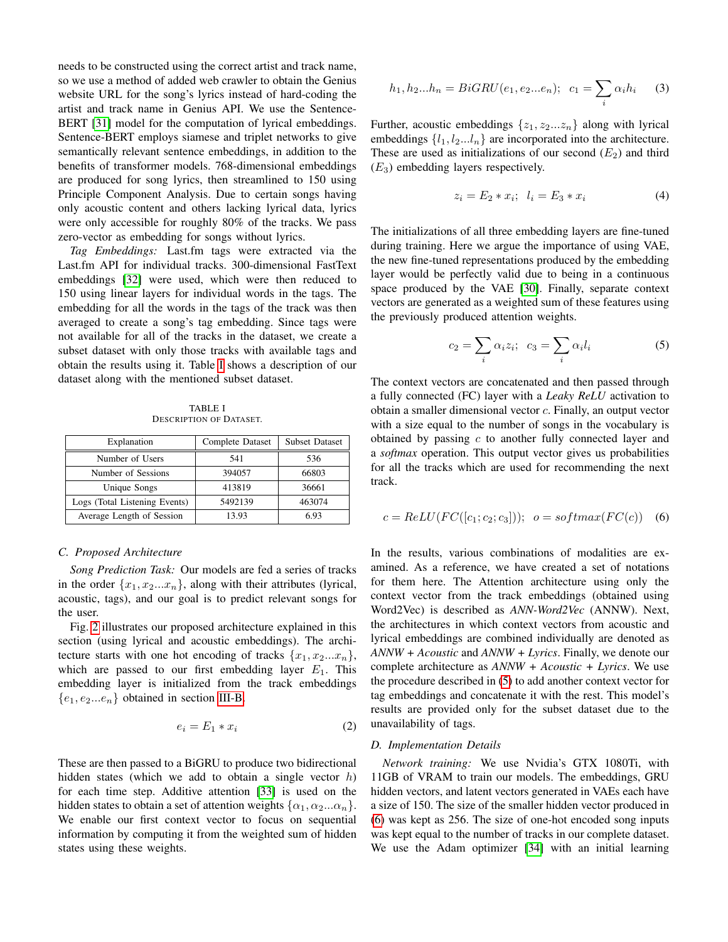needs to be constructed using the correct artist and track name, so we use a method of added web crawler to obtain the Genius website URL for the song's lyrics instead of hard-coding the artist and track name in Genius API. We use the Sentence-BERT [\[31\]](#page-7-19) model for the computation of lyrical embeddings. Sentence-BERT employs siamese and triplet networks to give semantically relevant sentence embeddings, in addition to the benefits of transformer models. 768-dimensional embeddings are produced for song lyrics, then streamlined to 150 using Principle Component Analysis. Due to certain songs having only acoustic content and others lacking lyrical data, lyrics were only accessible for roughly 80% of the tracks. We pass zero-vector as embedding for songs without lyrics.

*Tag Embeddings:* Last.fm tags were extracted via the Last.fm API for individual tracks. 300-dimensional FastText embeddings [\[32\]](#page-7-20) were used, which were then reduced to 150 using linear layers for individual words in the tags. The embedding for all the words in the tags of the track was then averaged to create a song's tag embedding. Since tags were not available for all of the tracks in the dataset, we create a subset dataset with only those tracks with available tags and obtain the results using it. Table [I](#page-3-0) shows a description of our dataset along with the mentioned subset dataset.

TABLE I DESCRIPTION OF DATASET.

<span id="page-3-0"></span>

| Explanation                   | Complete Dataset | <b>Subset Dataset</b> |
|-------------------------------|------------------|-----------------------|
| Number of Users               | 541              | 536                   |
| Number of Sessions            | 394057           | 66803                 |
| Unique Songs                  | 413819           | 36661                 |
| Logs (Total Listening Events) | 5492139          | 463074                |
| Average Length of Session     | 13.93            | 6.93                  |

#### *C. Proposed Architecture*

<span id="page-3-1"></span>*Song Prediction Task:* Our models are fed a series of tracks in the order  $\{x_1, x_2...x_n\}$ , along with their attributes (lyrical, acoustic, tags), and our goal is to predict relevant songs for the user.

Fig. [2](#page-4-0) illustrates our proposed architecture explained in this section (using lyrical and acoustic embeddings). The architecture starts with one hot encoding of tracks  $\{x_1, x_2...x_n\}$ , which are passed to our first embedding layer  $E_1$ . This embedding layer is initialized from the track embeddings  ${e_1, e_2...e_n}$  obtained in section [III-B.](#page-2-3)

$$
e_i = E_1 * x_i \tag{2}
$$

These are then passed to a BiGRU to produce two bidirectional hidden states (which we add to obtain a single vector  $h$ ) for each time step. Additive attention [\[33\]](#page-7-21) is used on the hidden states to obtain a set of attention weights  $\{\alpha_1, \alpha_2...\alpha_n\}$ . We enable our first context vector to focus on sequential information by computing it from the weighted sum of hidden states using these weights.

$$
h_1, h_2...h_n = BiGRU(e_1, e_2...e_n); \quad c_1 = \sum_i \alpha_i h_i \tag{3}
$$

Further, acoustic embeddings  $\{z_1, z_2...z_n\}$  along with lyrical embeddings  $\{l_1, l_2...l_n\}$  are incorporated into the architecture. These are used as initializations of our second  $(E_2)$  and third  $(E_3)$  embedding layers respectively.

$$
z_i = E_2 * x_i; \ \ l_i = E_3 * x_i \tag{4}
$$

The initializations of all three embedding layers are fine-tuned during training. Here we argue the importance of using VAE, the new fine-tuned representations produced by the embedding layer would be perfectly valid due to being in a continuous space produced by the VAE [\[30\]](#page-7-18). Finally, separate context vectors are generated as a weighted sum of these features using the previously produced attention weights.

<span id="page-3-2"></span>
$$
c_2 = \sum_i \alpha_i z_i; \ \ c_3 = \sum_i \alpha_i l_i \tag{5}
$$

The context vectors are concatenated and then passed through a fully connected (FC) layer with a *Leaky ReLU* activation to obtain a smaller dimensional vector c. Finally, an output vector with a size equal to the number of songs in the vocabulary is obtained by passing  $c$  to another fully connected layer and a *softmax* operation. This output vector gives us probabilities for all the tracks which are used for recommending the next track.

<span id="page-3-3"></span>
$$
c = ReLU(FC([c_1; c_2; c_3])), \quad o = softmax(FC(c)) \quad (6)
$$

In the results, various combinations of modalities are examined. As a reference, we have created a set of notations for them here. The Attention architecture using only the context vector from the track embeddings (obtained using Word2Vec) is described as *ANN-Word2Vec* (ANNW). Next, the architectures in which context vectors from acoustic and lyrical embeddings are combined individually are denoted as *ANNW + Acoustic* and *ANNW + Lyrics*. Finally, we denote our complete architecture as *ANNW + Acoustic + Lyrics*. We use the procedure described in [\(5\)](#page-3-2) to add another context vector for tag embeddings and concatenate it with the rest. This model's results are provided only for the subset dataset due to the unavailability of tags.

#### *D. Implementation Details*

*Network training:* We use Nvidia's GTX 1080Ti, with 11GB of VRAM to train our models. The embeddings, GRU hidden vectors, and latent vectors generated in VAEs each have a size of 150. The size of the smaller hidden vector produced in [\(6\)](#page-3-3) was kept as 256. The size of one-hot encoded song inputs was kept equal to the number of tracks in our complete dataset. We use the Adam optimizer [\[34\]](#page-7-22) with an initial learning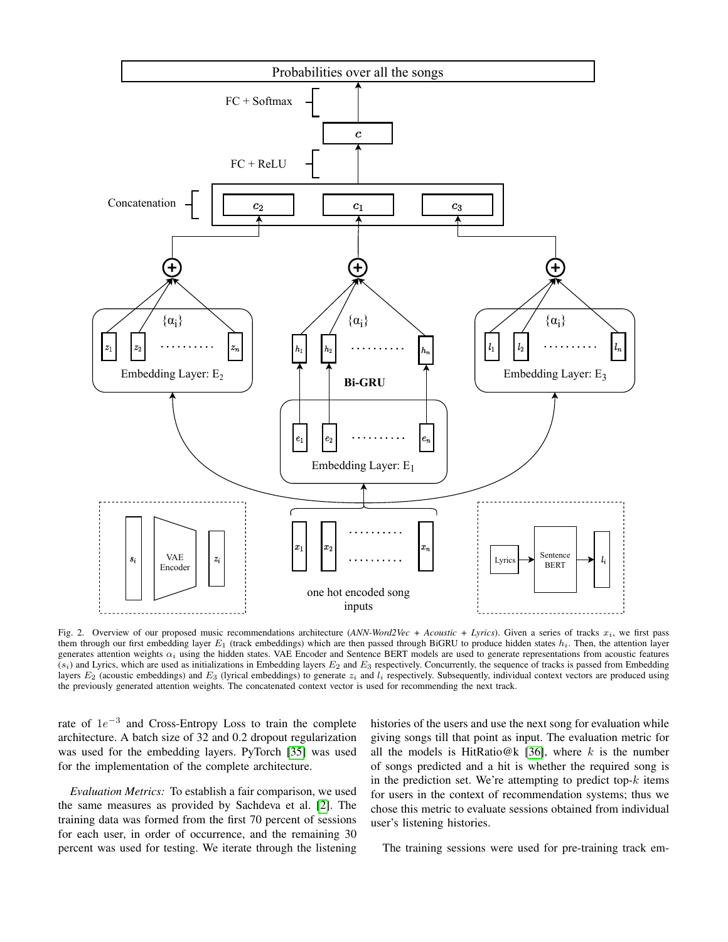

<span id="page-4-0"></span>Fig. 2. Overview of our proposed music recommendations architecture (*ANN-Word2Vec + Acoustic + Lyrics*). Given a series of tracks  $x_i$ , we first pass them through our first embedding layer  $E_1$  (track embeddings) which are then passed through BiGRU to produce hidden states  $h_i$ . Then, the attention layer generates attention weights  $\alpha_i$  using the hidden states. VAE Encoder and Sentence BERT models are used to generate representations from acoustic features  $(s_i)$  and Lyrics, which are used as initializations in Embedding layers  $E_2$  and  $E_3$  respectively. Concurrently, the sequence of tracks is passed from Embedding layers  $E_2$  (acoustic embeddings) and  $E_3$  (lyrical embeddings) to generate  $z_i$  and  $l_i$  respectively. Subsequently, individual context vectors are produced using the previously generated attention weights. The concatenated context vector is used for recommending the next track.

rate of  $1e^{-3}$  and Cross-Entropy Loss to train the complete architecture. A batch size of 32 and 0.2 dropout regularization was used for the embedding layers. PyTorch [\[35\]](#page-7-23) was used for the implementation of the complete architecture.

*Evaluation Metrics:* To establish a fair comparison, we used the same measures as provided by Sachdeva et al. [\[2\]](#page-6-1). The training data was formed from the first 70 percent of sessions for each user, in order of occurrence, and the remaining 30 percent was used for testing. We iterate through the listening histories of the users and use the next song for evaluation while giving songs till that point as input. The evaluation metric for all the models is HitRatio@k [\[36\]](#page-7-24), where  $k$  is the number of songs predicted and a hit is whether the required song is in the prediction set. We're attempting to predict top- $k$  items for users in the context of recommendation systems; thus we chose this metric to evaluate sessions obtained from individual user's listening histories.

The training sessions were used for pre-training track em-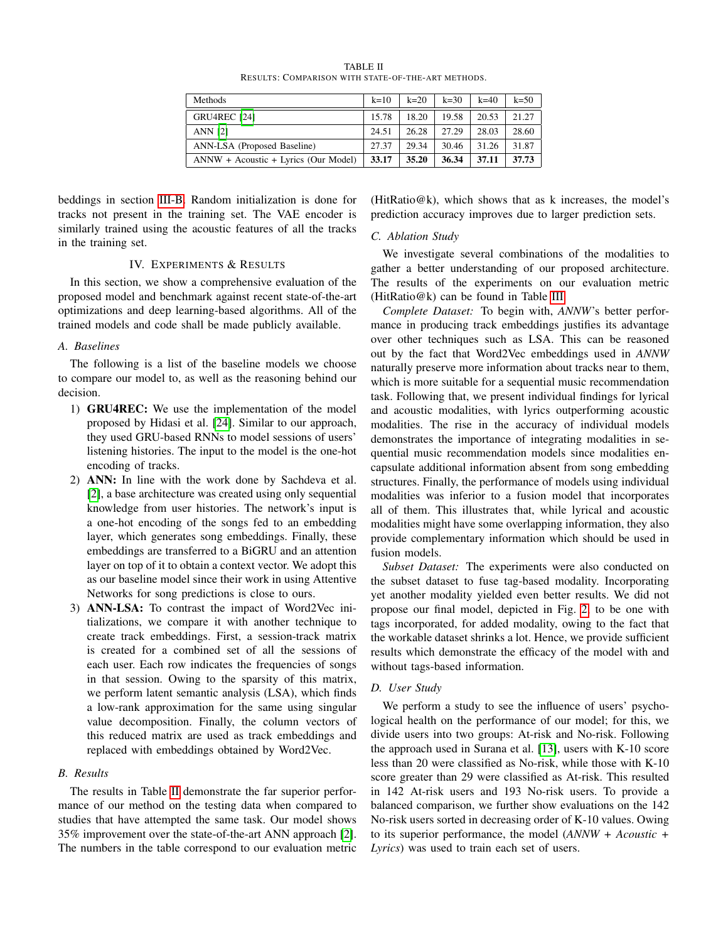| TABLE II                                           |
|----------------------------------------------------|
| RESULTS: COMPARISON WITH STATE-OF-THE-ART METHODS. |

| <b>Methods</b>                       | $k=10$ | $k = 20$ | $k = 30$ | $k=40$ | $k=50$ |
|--------------------------------------|--------|----------|----------|--------|--------|
| <b>GRU4REC</b> [24]                  | 15.78  | 18.20    | 19.58    | 20.53  | 21.27  |
| <b>ANN [2]</b>                       | 24.51  | 26.28    | 27.29    | 28.03  | 28.60  |
| ANN-LSA (Proposed Baseline)          | 27.37  | 29.34    | 30.46    | 31.26  | 31.87  |
| ANNW + Acoustic + Lyrics (Our Model) | 33.17  | 35.20    | 36.34    | 37.11  | 37.73  |

<span id="page-5-0"></span>beddings in section [III-B.](#page-2-3) Random initialization is done for tracks not present in the training set. The VAE encoder is similarly trained using the acoustic features of all the tracks in the training set.

#### IV. EXPERIMENTS & RESULTS

In this section, we show a comprehensive evaluation of the proposed model and benchmark against recent state-of-the-art optimizations and deep learning-based algorithms. All of the trained models and code shall be made publicly available.

#### *A. Baselines*

The following is a list of the baseline models we choose to compare our model to, as well as the reasoning behind our decision.

- 1) GRU4REC: We use the implementation of the model proposed by Hidasi et al. [\[24\]](#page-7-12). Similar to our approach, they used GRU-based RNNs to model sessions of users' listening histories. The input to the model is the one-hot encoding of tracks.
- 2) ANN: In line with the work done by Sachdeva et al. [\[2\]](#page-6-1), a base architecture was created using only sequential knowledge from user histories. The network's input is a one-hot encoding of the songs fed to an embedding layer, which generates song embeddings. Finally, these embeddings are transferred to a BiGRU and an attention layer on top of it to obtain a context vector. We adopt this as our baseline model since their work in using Attentive Networks for song predictions is close to ours.
- 3) ANN-LSA: To contrast the impact of Word2Vec initializations, we compare it with another technique to create track embeddings. First, a session-track matrix is created for a combined set of all the sessions of each user. Each row indicates the frequencies of songs in that session. Owing to the sparsity of this matrix, we perform latent semantic analysis (LSA), which finds a low-rank approximation for the same using singular value decomposition. Finally, the column vectors of this reduced matrix are used as track embeddings and replaced with embeddings obtained by Word2Vec.

#### *B. Results*

The results in Table [II](#page-5-0) demonstrate the far superior performance of our method on the testing data when compared to studies that have attempted the same task. Our model shows 35% improvement over the state-of-the-art ANN approach [\[2\]](#page-6-1). The numbers in the table correspond to our evaluation metric

 $(HitRatio@k)$ , which shows that as k increases, the model's prediction accuracy improves due to larger prediction sets.

### *C. Ablation Study*

We investigate several combinations of the modalities to gather a better understanding of our proposed architecture. The results of the experiments on our evaluation metric (HitRatio@k) can be found in Table [III.](#page-6-10)

*Complete Dataset:* To begin with, *ANNW*'s better performance in producing track embeddings justifies its advantage over other techniques such as LSA. This can be reasoned out by the fact that Word2Vec embeddings used in *ANNW* naturally preserve more information about tracks near to them, which is more suitable for a sequential music recommendation task. Following that, we present individual findings for lyrical and acoustic modalities, with lyrics outperforming acoustic modalities. The rise in the accuracy of individual models demonstrates the importance of integrating modalities in sequential music recommendation models since modalities encapsulate additional information absent from song embedding structures. Finally, the performance of models using individual modalities was inferior to a fusion model that incorporates all of them. This illustrates that, while lyrical and acoustic modalities might have some overlapping information, they also provide complementary information which should be used in fusion models.

*Subset Dataset:* The experiments were also conducted on the subset dataset to fuse tag-based modality. Incorporating yet another modality yielded even better results. We did not propose our final model, depicted in Fig. [2,](#page-4-0) to be one with tags incorporated, for added modality, owing to the fact that the workable dataset shrinks a lot. Hence, we provide sufficient results which demonstrate the efficacy of the model with and without tags-based information.

## *D. User Study*

We perform a study to see the influence of users' psychological health on the performance of our model; for this, we divide users into two groups: At-risk and No-risk. Following the approach used in Surana et al. [\[13\]](#page-7-1), users with K-10 score less than 20 were classified as No-risk, while those with K-10 score greater than 29 were classified as At-risk. This resulted in 142 At-risk users and 193 No-risk users. To provide a balanced comparison, we further show evaluations on the 142 No-risk users sorted in decreasing order of K-10 values. Owing to its superior performance, the model (*ANNW + Acoustic + Lyrics*) was used to train each set of users.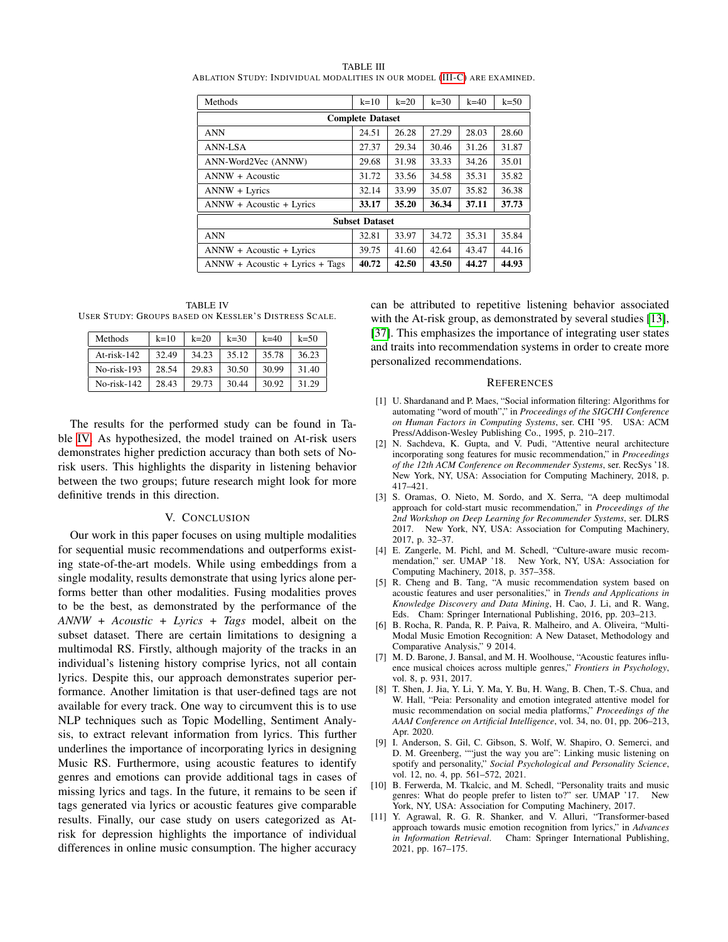| Methods                           | $k=10$ | $k = 20$ | $k=30$ | $k=40$ | $k=50$ |  |
|-----------------------------------|--------|----------|--------|--------|--------|--|
| <b>Complete Dataset</b>           |        |          |        |        |        |  |
| <b>ANN</b>                        | 24.51  | 26.28    | 27.29  | 28.03  | 28.60  |  |
| <b>ANN-LSA</b>                    | 27.37  | 29.34    | 30.46  | 31.26  | 31.87  |  |
| ANN-Word2Vec (ANNW)               | 29.68  | 31.98    | 33.33  | 34.26  | 35.01  |  |
| ANNW + Acoustic                   | 31.72  | 33.56    | 34.58  | 35.31  | 35.82  |  |
| ANNW + Lyrics                     | 32.14  | 33.99    | 35.07  | 35.82  | 36.38  |  |
| ANNW + Acoustic + Lyrics          | 33.17  | 35.20    | 36.34  | 37.11  | 37.73  |  |
| <b>Subset Dataset</b>             |        |          |        |        |        |  |
| <b>ANN</b>                        | 32.81  | 33.97    | 34.72  | 35.31  | 35.84  |  |
| ANNW + Acoustic + Lyrics          | 39.75  | 41.60    | 42.64  | 43.47  | 44.16  |  |
| $ANNW + Acoustic + Lyrics + Tags$ | 40.72  | 42.50    | 43.50  | 44.27  | 44.93  |  |

<span id="page-6-10"></span>TABLE III ABLATION STUDY: INDIVIDUAL MODALITIES IN OUR MODEL [\(III-C\)](#page-3-1) ARE EXAMINED.

<span id="page-6-11"></span>TABLE IV USER STUDY: GROUPS BASED ON KESSLER'S DISTRESS SCALE.

| Methods     | $k=10$ | $k=20$ | $k = 30$ | $k=40$ | $k = 50$ |
|-------------|--------|--------|----------|--------|----------|
| At-risk-142 | 32.49  | 34.23  | 35.12    | 35.78  | 36.23    |
| No-risk-193 | 28.54  | 29.83  | 30.50    | 30.99  | 31.40    |
| No-risk-142 | 28.43  | 29.73  | 30.44    | 30.92  | 31.29    |

The results for the performed study can be found in Table [IV.](#page-6-11) As hypothesized, the model trained on At-risk users demonstrates higher prediction accuracy than both sets of Norisk users. This highlights the disparity in listening behavior between the two groups; future research might look for more definitive trends in this direction.

# V. CONCLUSION

Our work in this paper focuses on using multiple modalities for sequential music recommendations and outperforms existing state-of-the-art models. While using embeddings from a single modality, results demonstrate that using lyrics alone performs better than other modalities. Fusing modalities proves to be the best, as demonstrated by the performance of the *ANNW + Acoustic + Lyrics + Tags* model, albeit on the subset dataset. There are certain limitations to designing a multimodal RS. Firstly, although majority of the tracks in an individual's listening history comprise lyrics, not all contain lyrics. Despite this, our approach demonstrates superior performance. Another limitation is that user-defined tags are not available for every track. One way to circumvent this is to use NLP techniques such as Topic Modelling, Sentiment Analysis, to extract relevant information from lyrics. This further underlines the importance of incorporating lyrics in designing Music RS. Furthermore, using acoustic features to identify genres and emotions can provide additional tags in cases of missing lyrics and tags. In the future, it remains to be seen if tags generated via lyrics or acoustic features give comparable results. Finally, our case study on users categorized as Atrisk for depression highlights the importance of individual differences in online music consumption. The higher accuracy

can be attributed to repetitive listening behavior associated with the At-risk group, as demonstrated by several studies [\[13\]](#page-7-1), [\[37\]](#page-7-25). This emphasizes the importance of integrating user states and traits into recommendation systems in order to create more personalized recommendations.

#### **REFERENCES**

- <span id="page-6-0"></span>[1] U. Shardanand and P. Maes, "Social information filtering: Algorithms for automating "word of mouth"," in *Proceedings of the SIGCHI Conference on Human Factors in Computing Systems*, ser. CHI '95. USA: ACM Press/Addison-Wesley Publishing Co., 1995, p. 210–217.
- <span id="page-6-1"></span>[2] N. Sachdeva, K. Gupta, and V. Pudi, "Attentive neural architecture incorporating song features for music recommendation," in *Proceedings of the 12th ACM Conference on Recommender Systems*, ser. RecSys '18. New York, NY, USA: Association for Computing Machinery, 2018, p. 417–421.
- <span id="page-6-2"></span>[3] S. Oramas, O. Nieto, M. Sordo, and X. Serra, "A deep multimodal approach for cold-start music recommendation," in *Proceedings of the 2nd Workshop on Deep Learning for Recommender Systems*, ser. DLRS 2017. New York, NY, USA: Association for Computing Machinery, 2017, p. 32–37.
- <span id="page-6-3"></span>[4] E. Zangerle, M. Pichl, and M. Schedl, "Culture-aware music recommendation," ser. UMAP '18. New York, NY, USA: Association for Computing Machinery, 2018, p. 357–358.
- <span id="page-6-4"></span>[5] R. Cheng and B. Tang, "A music recommendation system based on acoustic features and user personalities," in *Trends and Applications in Knowledge Discovery and Data Mining*, H. Cao, J. Li, and R. Wang, Eds. Cham: Springer International Publishing, 2016, pp. 203–213.
- <span id="page-6-5"></span>[6] B. Rocha, R. Panda, R. P. Paiva, R. Malheiro, and A. Oliveira, "Multi-Modal Music Emotion Recognition: A New Dataset, Methodology and Comparative Analysis," 9 2014.
- <span id="page-6-6"></span>[7] M. D. Barone, J. Bansal, and M. H. Woolhouse, "Acoustic features influence musical choices across multiple genres," *Frontiers in Psychology*, vol. 8, p. 931, 2017.
- <span id="page-6-7"></span>[8] T. Shen, J. Jia, Y. Li, Y. Ma, Y. Bu, H. Wang, B. Chen, T.-S. Chua, and W. Hall, "Peia: Personality and emotion integrated attentive model for music recommendation on social media platforms," *Proceedings of the AAAI Conference on Artificial Intelligence*, vol. 34, no. 01, pp. 206–213, Apr. 2020.
- [9] I. Anderson, S. Gil, C. Gibson, S. Wolf, W. Shapiro, O. Semerci, and D. M. Greenberg, ""just the way you are": Linking music listening on spotify and personality," *Social Psychological and Personality Science*, vol. 12, no. 4, pp. 561–572, 2021.
- <span id="page-6-8"></span>[10] B. Ferwerda, M. Tkalcic, and M. Schedl, "Personality traits and music genres: What do people prefer to listen to?" ser. UMAP '17. New York, NY, USA: Association for Computing Machinery, 2017.
- <span id="page-6-9"></span>[11] Y. Agrawal, R. G. R. Shanker, and V. Alluri, "Transformer-based approach towards music emotion recognition from lyrics," in *Advances in Information Retrieval*. Cham: Springer International Publishing, 2021, pp. 167–175.